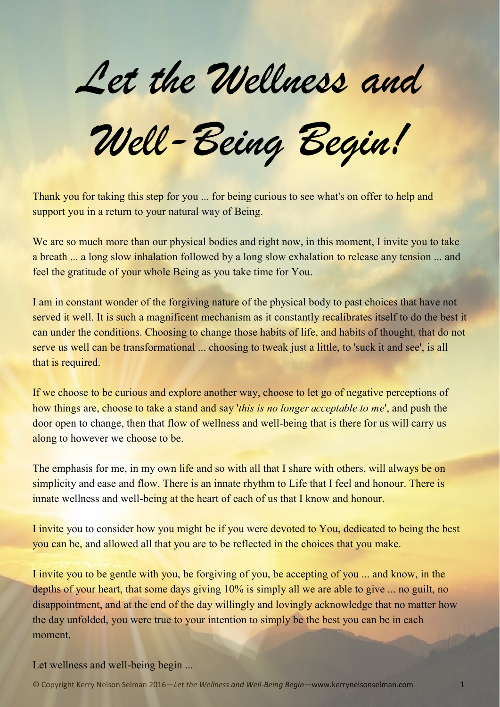*Let the Wellness and*

*Well-Being Begin!*

Thank you for taking this step for you ... for being curious to see what's on offer to help and support you in a return to your natural way of Being.

We are so much more than our physical bodies and right now, in this moment, I invite you to take a breath ... a long slow inhalation followed by a long slow exhalation to release any tension ... and feel the gratitude of your whole Being as you take time for You.

I am in constant wonder of the forgiving nature of the physical body to past choices that have not served it well. It is such a magnificent mechanism as it constantly recalibrates itself to do the best it can under the conditions. Choosing to change those habits of life, and habits of thought, that do not serve us well can be transformational ... choosing to tweak just a little, to 'suck it and see', is all that is required.

If we choose to be curious and explore another way, choose to let go of negative perceptions of how things are, choose to take a stand and say '*this is no longer acceptable to me*', and push the door open to change, then that flow of wellness and well-being that is there for us will carry us along to however we choose to be.

The emphasis for me, in my own life and so with all that I share with others, will always be on simplicity and ease and flow. There is an innate rhythm to Life that I feel and honour. There is innate wellness and well-being at the heart of each of us that I know and honour.

I invite you to consider how you might be if you were devoted to You, dedicated to being the best you can be, and allowed all that you are to be reflected in the choices that you make.

I invite you to be gentle with you, be forgiving of you, be accepting of you ... and know, in the depths of your heart, that some days giving 10% is simply all we are able to give ... no guilt, no disappointment, and at the end of the day willingly and lovingly acknowledge that no matter how the day unfolded, you were true to your intention to simply be the best you can be in each moment.

Let wellness and well-being begin ...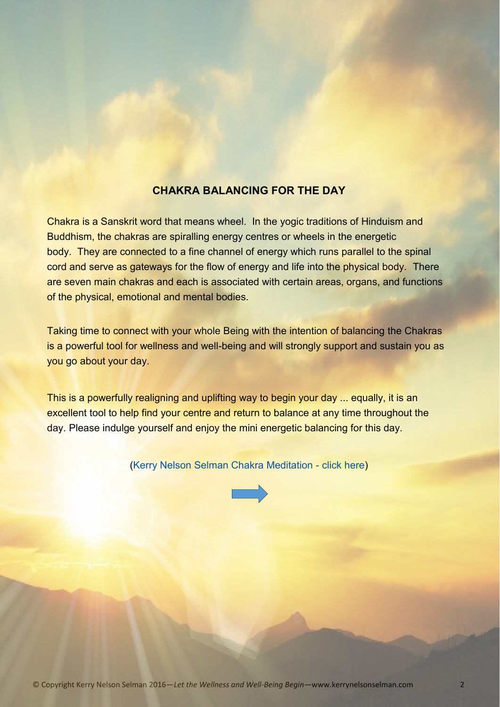## **CHAKRA BALANCING FOR THE DAY**

Chakra is a Sanskrit word that means wheel. In the yogic traditions of Hinduism and Buddhism, the chakras are spiralling energy centres or wheels in the energetic body. They are connected to a fine channel of energy which runs parallel to the spinal cord and serve as gateways for the flow of energy and life into the physical body. There are seven main chakras and each is associated with certain areas, organs, and functions of the physical, emotional and mental bodies.

Taking time to connect with your whole Being with the intention of balancing the Chakras is a powerful tool for wellness and well-being and will strongly support and sustain you as you go about your day.

This is a powerfully realigning and uplifting way to begin your day ... equally, it is an excellent tool to help find your centre and return to balance at any time throughout the day. Please indulge yourself and enjoy the mini energetic balancing for this day.

([Kerry Nelson Selman Chakra Meditation](http://www.kerrynelsonselman.com/#!blank/f2l96) - click here)

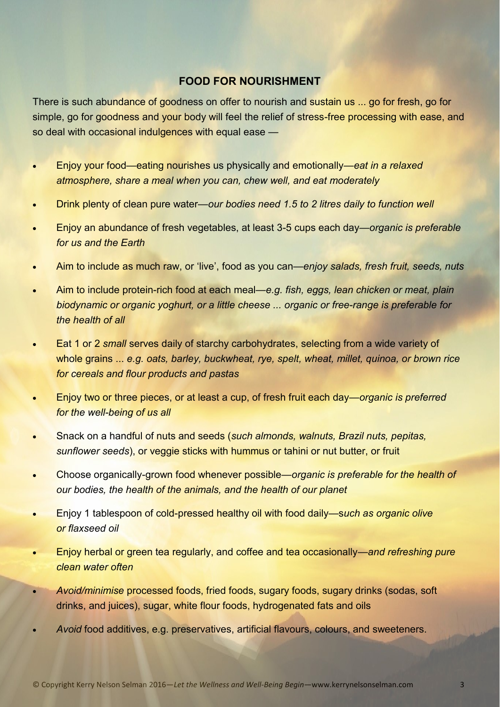## **FOOD FOR NOURISHMENT**

There is such abundance of goodness on offer to nourish and sustain us ... go for fresh, go for simple, go for goodness and your body will feel the relief of stress-free processing with ease, and so deal with occasional indulgences with equal ease —

- Enjoy your food—eating nourishes us physically and emotionally—*eat in a relaxed atmosphere, share a meal when you can, chew well, and eat moderately*
- Drink plenty of clean pure water—*our bodies need 1.5 to 2 litres daily to function well*
- Enjoy an abundance of fresh vegetables, at least 3-5 cups each day—*organic is preferable for us and the Earth*
- Aim to include as much raw, or 'live', food as you can—*enjoy salads, fresh fruit, seeds, nuts*
- Aim to include protein-rich food at each meal—*e.g. fish, eggs, lean chicken or meat, plain biodynamic or organic yoghurt, or a little cheese ... organic or free-range is preferable for the health of all*
- Eat 1 or 2 *small* serves daily of starchy carbohydrates, selecting from a wide variety of whole grains ... *e.g. oats, barley, buckwheat, rye, spelt, wheat, millet, quinoa, or brown rice for cereals and flour products and pastas*
- Enjoy two or three pieces, or at least a cup, of fresh fruit each day—*organic is preferred for the well-being of us all*
- Snack on a handful of nuts and seeds (*such almonds, walnuts, Brazil nuts, pepitas, sunflower seeds*), or veggie sticks with hummus or tahini or nut butter, or fruit
- Choose organically-grown food whenever possible—*organic is preferable for the health of our bodies, the health of the animals, and the health of our planet*
- Enjoy 1 tablespoon of cold-pressed healthy oil with food daily—s*uch as organic olive or flaxseed oil*
- Enjoy herbal or green tea regularly, and coffee and tea occasionally—*and refreshing pure clean water often*
- *Avoid/minimise* processed foods, fried foods, sugary foods, sugary drinks (sodas, soft drinks, and juices), sugar, white flour foods, hydrogenated fats and oils
- *Avoid* food additives, e.g. preservatives, artificial flavours, colours, and sweeteners.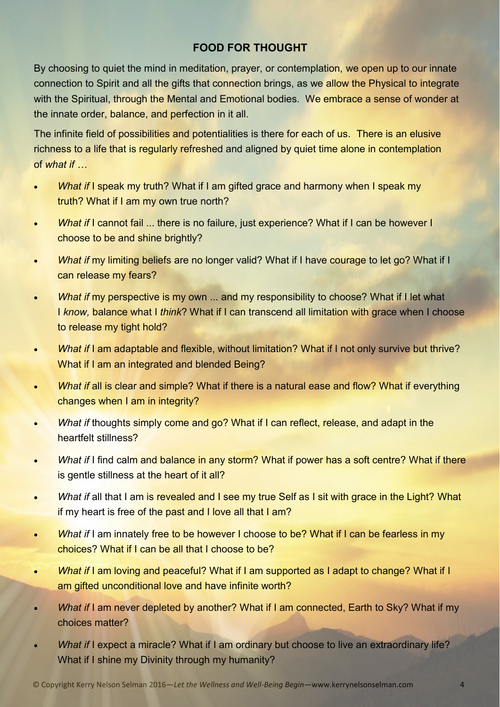# **FOOD FOR THOUGHT**

By choosing to quiet the mind in meditation, prayer, or contemplation, we open up to our innate connection to Spirit and all the gifts that connection brings, as we allow the Physical to integrate with the Spiritual, through the Mental and Emotional bodies. We embrace a sense of wonder at the innate order, balance, and perfection in it all.

The infinite field of possibilities and potentialities is there for each of us. There is an elusive richness to a life that is regularly refreshed and aligned by quiet time alone in contemplation of *what if …*

- *What if I speak my truth?* What if I am gifted grace and harmony when I speak my truth? What if I am my own true north?
- *What if I cannot fail ... there is no failure, just experience? What if I can be however I* choose to be and shine brightly?
- What if my limiting beliefs are no longer valid? What if I have courage to let go? What if I can release my fears?
- *What if* my perspective is my own ... and my responsibility to choose? What if I let what I *know,* balance what I *think*? What if I can transcend all limitation with grace when I choose to release my tight hold?
- *What if* I am adaptable and flexible, without limitation? What if I not only survive but thrive? What if I am an integrated and blended Being?
- *What if all is clear and simple?* What if there is a natural ease and flow? What if everything changes when I am in integrity?
- **What if thoughts simply come and go? What if I can reflect, release, and adapt in the** heartfelt stillness?
- *What if* I find calm and balance in any storm? What if power has a soft centre? What if there is gentle stillness at the heart of it all?
- *What if all that I am is revealed and I see my true Self as I sit with grace in the Light? What* if my heart is free of the past and I love all that I am?
- **What if I am innately free to be however I choose to be? What if I can be fearless in my** choices? What if I can be all that I choose to be?
- What if I am loving and peaceful? What if I am supported as I adapt to change? What if I am gifted unconditional love and have infinite worth?
- *What if I am never depleted by another? What if I am connected, Earth to Sky? What if my* choices matter?
- *What if I expect a miracle?* What if I am ordinary but choose to live an extraordinary life? What if I shine my Divinity through my humanity?